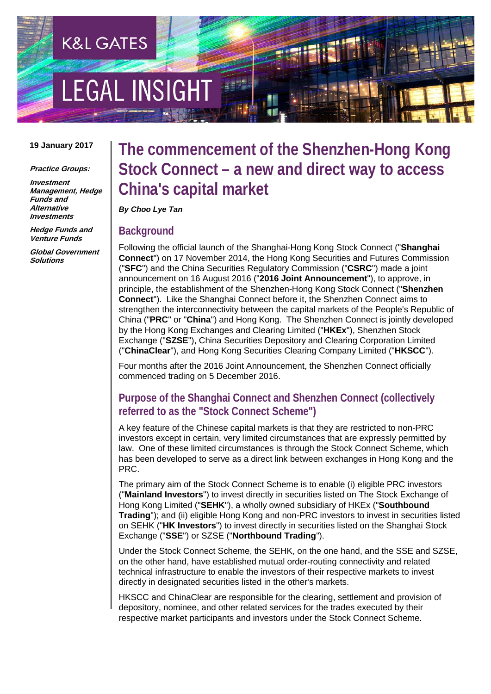# **LEGAL INSIGH**

**K&L GATES** 

#### **19 January 2017**

#### **Practice Groups:**

**Investment Management, Hedge Funds and Alternative Investments**

**Hedge Funds and Venture Funds**

**Global Government Solutions**

## **The commencement of the Shenzhen-Hong Kong Stock Connect – a new and direct way to access China's capital market**

#### *By Choo Lye Tan*

#### **Background**

Following the official launch of the Shanghai-Hong Kong Stock Connect ("**Shanghai Connect**") on 17 November 2014, the Hong Kong Securities and Futures Commission ("**SFC**") and the China Securities Regulatory Commission ("**CSRC**") made a joint announcement on 16 August 2016 ("**2016 Joint Announcement**"), to approve, in principle, the establishment of the Shenzhen-Hong Kong Stock Connect ("**Shenzhen Connect**"). Like the Shanghai Connect before it, the Shenzhen Connect aims to strengthen the interconnectivity between the capital markets of the People's Republic of China ("**PRC**" or "**China**") and Hong Kong. The Shenzhen Connect is jointly developed by the Hong Kong Exchanges and Clearing Limited ("**HKEx**"), Shenzhen Stock Exchange ("**SZSE**"), China Securities Depository and Clearing Corporation Limited ("**ChinaClear**"), and Hong Kong Securities Clearing Company Limited ("**HKSCC**").

Four months after the 2016 Joint Announcement, the Shenzhen Connect officially commenced trading on 5 December 2016.

## **Purpose of the Shanghai Connect and Shenzhen Connect (collectively referred to as the "Stock Connect Scheme")**

A key feature of the Chinese capital markets is that they are restricted to non-PRC investors except in certain, very limited circumstances that are expressly permitted by law. One of these limited circumstances is through the Stock Connect Scheme, which has been developed to serve as a direct link between exchanges in Hong Kong and the PRC.

The primary aim of the Stock Connect Scheme is to enable (i) eligible PRC investors ("**Mainland Investors**") to invest directly in securities listed on The Stock Exchange of Hong Kong Limited ("**SEHK**"), a wholly owned subsidiary of HKEx ("**Southbound Trading**"); and (ii) eligible Hong Kong and non-PRC investors to invest in securities listed on SEHK ("**HK Investors**") to invest directly in securities listed on the Shanghai Stock Exchange ("**SSE**") or SZSE ("**Northbound Trading**").

Under the Stock Connect Scheme, the SEHK, on the one hand, and the SSE and SZSE, on the other hand, have established mutual order-routing connectivity and related technical infrastructure to enable the investors of their respective markets to invest directly in designated securities listed in the other's markets.

HKSCC and ChinaClear are responsible for the clearing, settlement and provision of depository, nominee, and other related services for the trades executed by their respective market participants and investors under the Stock Connect Scheme.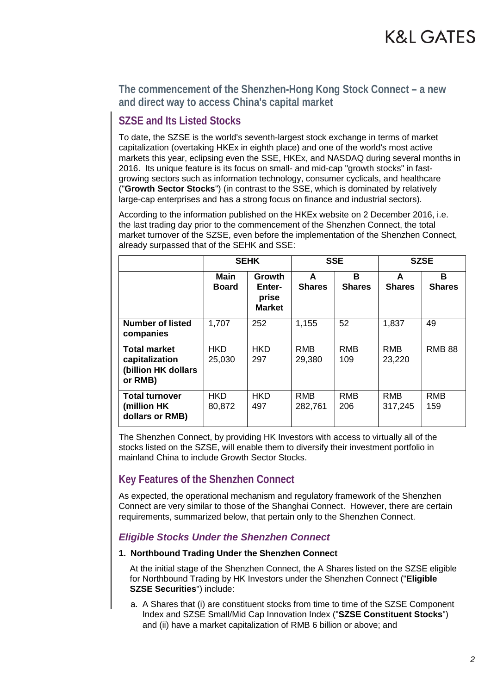## **SZSE and Its Listed Stocks**

To date, the SZSE is the world's seventh-largest stock exchange in terms of market capitalization (overtaking HKEx in eighth place) and one of the world's most active markets this year, eclipsing even the SSE, HKEx, and NASDAQ during several months in 2016. Its unique feature is its focus on small- and mid-cap "growth stocks" in fastgrowing sectors such as information technology, consumer cyclicals, and healthcare ("**Growth Sector Stocks**") (in contrast to the SSE, which is dominated by relatively large-cap enterprises and has a strong focus on finance and industrial sectors).

According to the information published on the HKEx website on 2 December 2016, i.e. the last trading day prior to the commencement of the Shenzhen Connect, the total market turnover of the SZSE, even before the implementation of the Shenzhen Connect, already surpassed that of the SEHK and SSE:

|                                                                         | <b>SEHK</b>                 |                                            | <b>SSE</b>            |                    | <b>SZSE</b>           |                    |
|-------------------------------------------------------------------------|-----------------------------|--------------------------------------------|-----------------------|--------------------|-----------------------|--------------------|
|                                                                         | <b>Main</b><br><b>Board</b> | Growth<br>Enter-<br>prise<br><b>Market</b> | A<br><b>Shares</b>    | B<br><b>Shares</b> | A<br><b>Shares</b>    | в<br><b>Shares</b> |
| <b>Number of listed</b><br>companies                                    | 1,707                       | 252                                        | 1,155                 | 52                 | 1,837                 | 49                 |
| <b>Total market</b><br>capitalization<br>(billion HK dollars<br>or RMB) | <b>HKD</b><br>25,030        | <b>HKD</b><br>297                          | <b>RMB</b><br>29,380  | <b>RMB</b><br>109  | <b>RMB</b><br>23,220  | <b>RMB 88</b>      |
| <b>Total turnover</b><br>(million HK<br>dollars or RMB)                 | <b>HKD</b><br>80,872        | <b>HKD</b><br>497                          | <b>RMB</b><br>282,761 | <b>RMB</b><br>206  | <b>RMB</b><br>317,245 | <b>RMB</b><br>159  |

The Shenzhen Connect, by providing HK Investors with access to virtually all of the stocks listed on the SZSE, will enable them to diversify their investment portfolio in mainland China to include Growth Sector Stocks.

## **Key Features of the Shenzhen Connect**

As expected, the operational mechanism and regulatory framework of the Shenzhen Connect are very similar to those of the Shanghai Connect. However, there are certain requirements, summarized below, that pertain only to the Shenzhen Connect.

### *Eligible Stocks Under the Shenzhen Connect*

#### **1. Northbound Trading Under the Shenzhen Connect**

At the initial stage of the Shenzhen Connect, the A Shares listed on the SZSE eligible for Northbound Trading by HK Investors under the Shenzhen Connect ("**Eligible SZSE Securities**") include:

a. A Shares that (i) are constituent stocks from time to time of the SZSE Component Index and SZSE Small/Mid Cap Innovation Index ("**SZSE Constituent Stocks**") and (ii) have a market capitalization of RMB 6 billion or above; and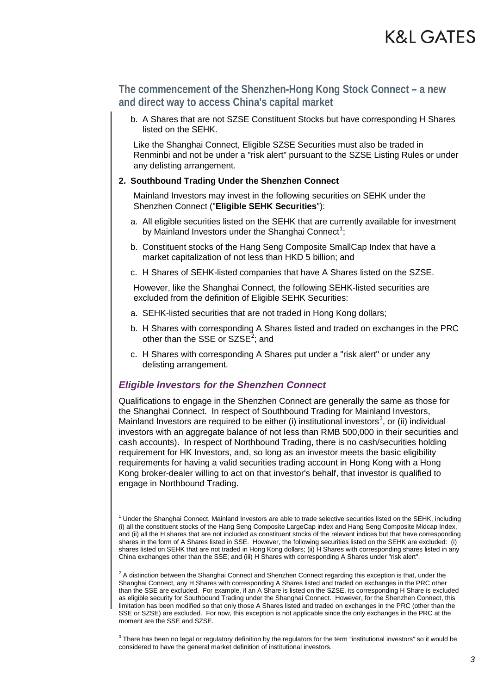b. A Shares that are not SZSE Constituent Stocks but have corresponding H Shares listed on the SEHK.

Like the Shanghai Connect, Eligible SZSE Securities must also be traded in Renminbi and not be under a "risk alert" pursuant to the SZSE Listing Rules or under any delisting arrangement.

#### **2. Southbound Trading Under the Shenzhen Connect**

Mainland Investors may invest in the following securities on SEHK under the Shenzhen Connect ("**Eligible SEHK Securities**"):

- a. All eligible securities listed on the SEHK that are currently available for investment by Mainland Investors under the Shanghai Connect<sup>[1](#page-2-0)</sup>;
- b. Constituent stocks of the Hang Seng Composite SmallCap Index that have a market capitalization of not less than HKD 5 billion; and
- c. H Shares of SEHK-listed companies that have A Shares listed on the SZSE.

However, like the Shanghai Connect, the following SEHK-listed securities are excluded from the definition of Eligible SEHK Securities:

- a. SEHK-listed securities that are not traded in Hong Kong dollars;
- b. H Shares with corresponding A Shares listed and traded on exchanges in the PRC other than the SSE or SZSE<sup>[2](#page-2-1)</sup>; and
- c. H Shares with corresponding A Shares put under a "risk alert" or under any delisting arrangement.

#### *Eligible Investors for the Shenzhen Connect*

Qualifications to engage in the Shenzhen Connect are generally the same as those for the Shanghai Connect. In respect of Southbound Trading for Mainland Investors, Mainland Investors are required to be either (i) institutional investors<sup>[3](#page-2-2)</sup>, or (ii) individual investors with an aggregate balance of not less than RMB 500,000 in their securities and cash accounts). In respect of Northbound Trading, there is no cash/securities holding requirement for HK Investors, and, so long as an investor meets the basic eligibility requirements for having a valid securities trading account in Hong Kong with a Hong Kong broker-dealer willing to act on that investor's behalf, that investor is qualified to engage in Northbound Trading.

<span id="page-2-0"></span> $1$  Under the Shanghai Connect, Mainland Investors are able to trade selective securities listed on the SEHK, including (i) all the constituent stocks of the Hang Seng Composite LargeCap index and Hang Seng Composite Midcap Index, and (ii) all the H shares that are not included as constituent stocks of the relevant indices but that have corresponding shares in the form of A Shares listed in SSE. However, the following securities listed on the SEHK are excluded: (i) shares listed on SEHK that are not traded in Hong Kong dollars; (ii) H Shares with corresponding shares listed in any China exchanges other than the SSE; and (iii) H Shares with corresponding A Shares under "risk alert".

<span id="page-2-1"></span> $2$  A distinction between the Shanghai Connect and Shenzhen Connect regarding this exception is that, under the Shanghai Connect, any H Shares with corresponding A Shares listed and traded on exchanges in the PRC other than the SSE are excluded. For example, if an A Share is listed on the SZSE, its corresponding H Share is excluded as eligible security for Southbound Trading under the Shanghai Connect. However, for the Shenzhen Connect, this limitation has been modified so that only those A Shares listed and traded on exchanges in the PRC (other than the SSE or SZSE) are excluded. For now, this exception is not applicable since the only exchanges in the PRC at the moment are the SSE and SZSE.

<span id="page-2-2"></span><sup>&</sup>lt;sup>3</sup> There has been no legal or regulatory definition by the regulators for the term "institutional investors" so it would be considered to have the general market definition of institutional investors.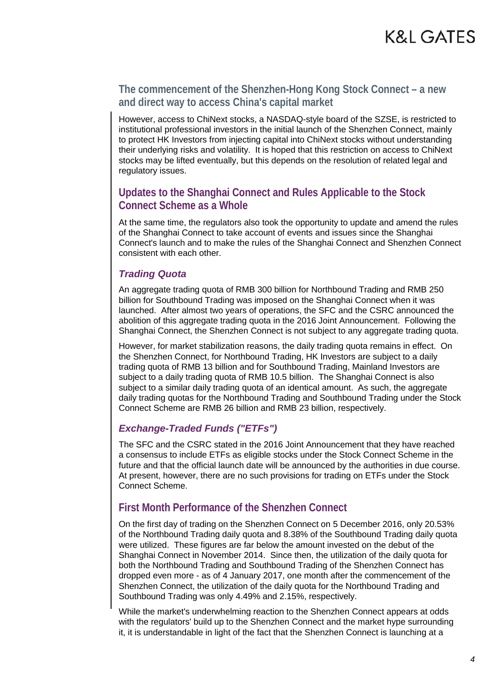However, access to ChiNext stocks, a NASDAQ-style board of the SZSE, is restricted to institutional professional investors in the initial launch of the Shenzhen Connect, mainly to protect HK Investors from injecting capital into ChiNext stocks without understanding their underlying risks and volatility. It is hoped that this restriction on access to ChiNext stocks may be lifted eventually, but this depends on the resolution of related legal and regulatory issues.

## **Updates to the Shanghai Connect and Rules Applicable to the Stock Connect Scheme as a Whole**

At the same time, the regulators also took the opportunity to update and amend the rules of the Shanghai Connect to take account of events and issues since the Shanghai Connect's launch and to make the rules of the Shanghai Connect and Shenzhen Connect consistent with each other.

## *Trading Quota*

An aggregate trading quota of RMB 300 billion for Northbound Trading and RMB 250 billion for Southbound Trading was imposed on the Shanghai Connect when it was launched. After almost two years of operations, the SFC and the CSRC announced the abolition of this aggregate trading quota in the 2016 Joint Announcement. Following the Shanghai Connect, the Shenzhen Connect is not subject to any aggregate trading quota.

However, for market stabilization reasons, the daily trading quota remains in effect. On the Shenzhen Connect, for Northbound Trading, HK Investors are subject to a daily trading quota of RMB 13 billion and for Southbound Trading, Mainland Investors are subject to a daily trading quota of RMB 10.5 billion. The Shanghai Connect is also subject to a similar daily trading quota of an identical amount. As such, the aggregate daily trading quotas for the Northbound Trading and Southbound Trading under the Stock Connect Scheme are RMB 26 billion and RMB 23 billion, respectively.

## *Exchange-Traded Funds ("ETFs")*

The SFC and the CSRC stated in the 2016 Joint Announcement that they have reached a consensus to include ETFs as eligible stocks under the Stock Connect Scheme in the future and that the official launch date will be announced by the authorities in due course. At present, however, there are no such provisions for trading on ETFs under the Stock Connect Scheme.

## **First Month Performance of the Shenzhen Connect**

On the first day of trading on the Shenzhen Connect on 5 December 2016, only 20.53% of the Northbound Trading daily quota and 8.38% of the Southbound Trading daily quota were utilized. These figures are far below the amount invested on the debut of the Shanghai Connect in November 2014. Since then, the utilization of the daily quota for both the Northbound Trading and Southbound Trading of the Shenzhen Connect has dropped even more - as of 4 January 2017, one month after the commencement of the Shenzhen Connect, the utilization of the daily quota for the Northbound Trading and Southbound Trading was only 4.49% and 2.15%, respectively.

While the market's underwhelming reaction to the Shenzhen Connect appears at odds with the regulators' build up to the Shenzhen Connect and the market hype surrounding it, it is understandable in light of the fact that the Shenzhen Connect is launching at a